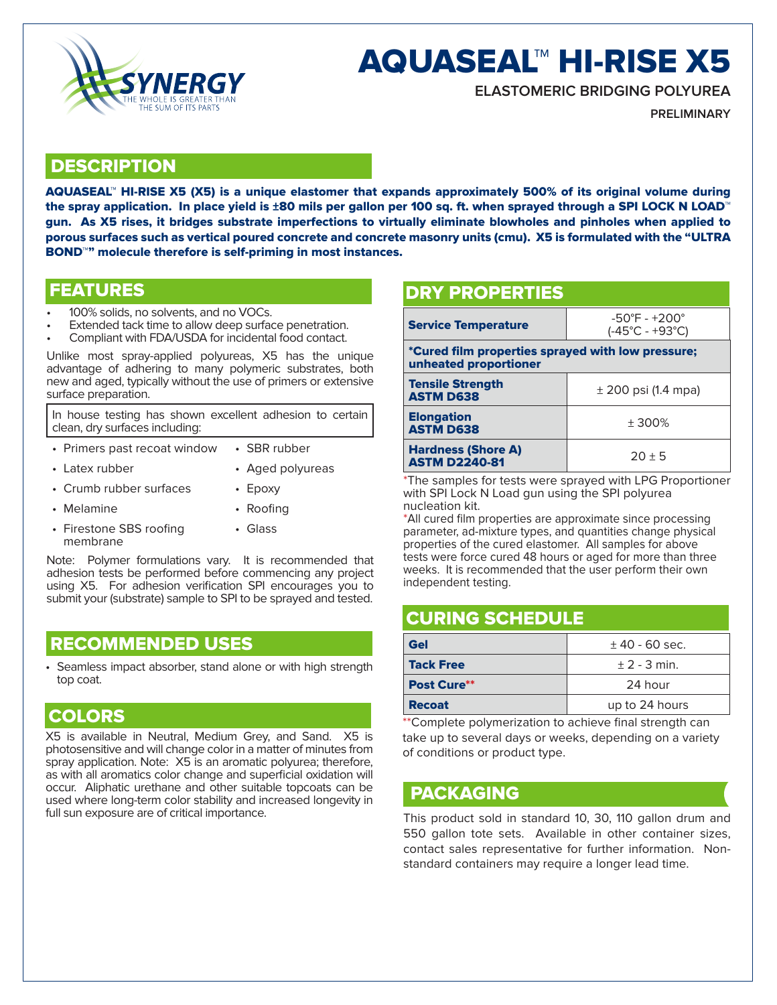

# AQUASEAL™ HI-RISE X5

**ELASTOMERIC BRIDGING POLYUREA**

**PRELIMINARY**

#### **DESCRIPTION**

AQUASEAL™ HI-RISE X5 (X5) is a unique elastomer that expands approximately 500% of its original volume during the spray application. In place yield is ±80 mils per gallon per 100 sq. ft. when sprayed through a SPI LOCK N LOAD™ gun. As X5 rises, it bridges substrate imperfections to virtually eliminate blowholes and pinholes when applied to porous surfaces such as vertical poured concrete and concrete masonry units (cmu). X5 is formulated with the "ULTRA BOND<sup>™</sup>" molecule therefore is self-priming in most instances.

- 
- 100% solids, no solvents, and no VOCs. Extended tack time to allow deep surface penetration. Compliant with FDA/USDA for incidental food contact.
- 

Unlike most spray-applied polyureas, X5 has the unique advantage of adhering to many polymeric substrates, both new and aged, typically without the use of primers or extensive surface preparation.

In house testing has shown excellent adhesion to certain clean, dry surfaces including:

- Primers past recoat window SBR rubber
- Latex rubber Aged polyureas
- Crumb rubber surfaces Epoxy
- 
- Melamine Roofing
- Firestone SBS roofing membrane • Glass

Note: Polymer formulations vary. It is recommended that adhesion tests be performed before commencing any project using X5. For adhesion verification SPI encourages you to submit your (substrate) sample to SPI to be sprayed and tested.

# RECOMMENDED USES

Seamless impact absorber, stand alone or with high strength top coat.

#### COLORS

X5 is available in Neutral, Medium Grey, and Sand. X5 is photosensitive and will change color in a matter of minutes from spray application. Note: X5 is an aromatic polyurea; therefore, as with all aromatics color change and superficial oxidation will occur. Aliphatic urethane and other suitable topcoats can be used where long-term color stability and increased longevity in full sun exposure are of critical importance.

# FEATURES **DRY PROPERTIES**

| <b>Service Temperature</b>                                                 | $-50^{\circ}$ F - $+200^{\circ}$<br>$(-45^{\circ}C - +93^{\circ}C)$ |  |
|----------------------------------------------------------------------------|---------------------------------------------------------------------|--|
| *Cured film properties sprayed with low pressure;<br>unheated proportioner |                                                                     |  |
| <b>Tensile Strength</b><br><b>ASTM D638</b>                                | $\pm$ 200 psi (1.4 mpa)                                             |  |
| <b>Elongation</b><br><b>ASTM D638</b>                                      | ± 300%                                                              |  |
| <b>Hardness (Shore A)</b><br><b>ASTM D2240-81</b>                          | $20 \pm 5$                                                          |  |

\*The samples for tests were sprayed with LPG Proportioner with SPI Lock N Load gun using the SPI polyurea nucleation kit.

\*All cured film properties are approximate since processing parameter, ad-mixture types, and quantities change physical properties of the cured elastomer. All samples for above tests were force cured 48 hours or aged for more than three weeks. It is recommended that the user perform their own independent testing.

#### CURING SCHEDULE

| Gel              | $±$ 40 - 60 sec. |
|------------------|------------------|
| <b>Tack Free</b> | $\pm$ 2 - 3 min. |
| Post Cure**      | 24 hour          |
| <b>Recoat</b>    | up to 24 hours   |

\*\*Complete polymerization to achieve final strength can take up to several days or weeks, depending on a variety of conditions or product type.

#### PACKAGING

This product sold in standard 10, 30, 110 gallon drum and 550 gallon tote sets. Available in other container sizes, contact sales representative for further information. Nonstandard containers may require a longer lead time.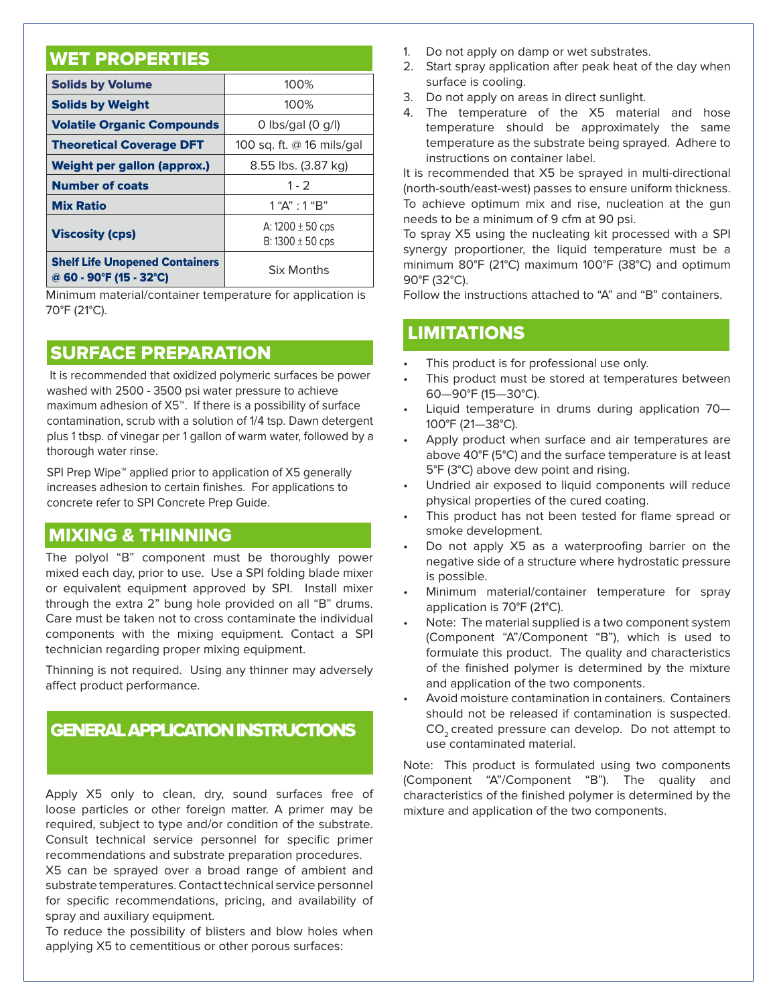# WET PROPERTIES

| <b>Solids by Volume</b>                                          | 100%                                         |
|------------------------------------------------------------------|----------------------------------------------|
| <b>Solids by Weight</b>                                          | 100%                                         |
| <b>Volatile Organic Compounds</b>                                | $0$ lbs/gal $(0 g/l)$                        |
| <b>Theoretical Coverage DFT</b>                                  | 100 sq. ft. @ 16 mils/gal                    |
| Weight per gallon (approx.)                                      | 8.55 lbs. (3.87 kg)                          |
| <b>Number of coats</b>                                           | $1 - 2$                                      |
| <b>Mix Ratio</b>                                                 | 1 "A" : 1 "B"                                |
| <b>Viscosity (cps)</b>                                           | A: $1200 \pm 50$ cps<br>B: $1300 \pm 50$ cps |
| <b>Shelf Life Unopened Containers</b><br>@ 60 - 90°F (15 - 32°C) | <b>Six Months</b>                            |

Minimum material/container temperature for application is 70°F (21°C).

# SURFACE PREPARATION

 It is recommended that oxidized polymeric surfaces be power washed with 2500 - 3500 psi water pressure to achieve maximum adhesion of X5™. If there is a possibility of surface contamination, scrub with a solution of 1/4 tsp. Dawn detergent plus 1 tbsp. of vinegar per 1 gallon of warm water, followed by a thorough water rinse.

SPI Prep Wipe<sup>™</sup> applied prior to application of X5 generally increases adhesion to certain finishes. For applications to concrete refer to SPI Concrete Prep Guide.

# MIXING & THINNING

The polyol "B" component must be thoroughly power mixed each day, prior to use. Use a SPI folding blade mixer or equivalent equipment approved by SPI. Install mixer through the extra 2" bung hole provided on all "B" drums. Care must be taken not to cross contaminate the individual components with the mixing equipment. Contact a SPI technician regarding proper mixing equipment.

Thinning is not required. Using any thinner may adversely affect product performance.

# GENERAL APPLICATION INSTRUCTIONS

Apply X5 only to clean, dry, sound surfaces free of loose particles or other foreign matter. A primer may be required, subject to type and/or condition of the substrate. Consult technical service personnel for specific primer recommendations and substrate preparation procedures. X5 can be sprayed over a broad range of ambient and substrate temperatures. Contact technical service personnel

for specific recommendations, pricing, and availability of spray and auxiliary equipment.

To reduce the possibility of blisters and blow holes when applying X5 to cementitious or other porous surfaces:

- 1. Do not apply on damp or wet substrates.
- 2. Start spray application after peak heat of the day when surface is cooling.
- 3. Do not apply on areas in direct sunlight.
- 4. The temperature of the X5 material and hose temperature should be approximately the same temperature as the substrate being sprayed. Adhere to instructions on container label.

It is recommended that X5 be sprayed in multi-directional (north-south/east-west) passes to ensure uniform thickness. To achieve optimum mix and rise, nucleation at the gun needs to be a minimum of 9 cfm at 90 psi.

To spray X5 using the nucleating kit processed with a SPI synergy proportioner, the liquid temperature must be a minimum 80°F (21°C) maximum 100°F (38°C) and optimum 90°F (32°C).

Follow the instructions attached to "A" and "B" containers.

#### LIMITATIONS

- This product is for professional use only.
- This product must be stored at temperatures between 60—90°F (15—30°C).
- Liquid temperature in drums during application 70— 100°F (21—38°C).
- Apply product when surface and air temperatures are above 40°F (5°C) and the surface temperature is at least 5°F (3°C) above dew point and rising.
- Undried air exposed to liquid components will reduce physical properties of the cured coating.
- This product has not been tested for flame spread or smoke development.
- Do not apply X5 as a waterproofing barrier on the negative side of a structure where hydrostatic pressure is possible.
- Minimum material/container temperature for spray application is 70°F (21°C).
- Note: The material supplied is a two component system (Component "A"/Component "B"), which is used to formulate this product. The quality and characteristics of the finished polymer is determined by the mixture and application of the two components.
- Avoid moisture contamination in containers. Containers should not be released if contamination is suspected. CO<sub>2</sub> created pressure can develop. Do not attempt to use contaminated material.

Note: This product is formulated using two components (Component "A"/Component "B"). The quality and characteristics of the finished polymer is determined by the mixture and application of the two components.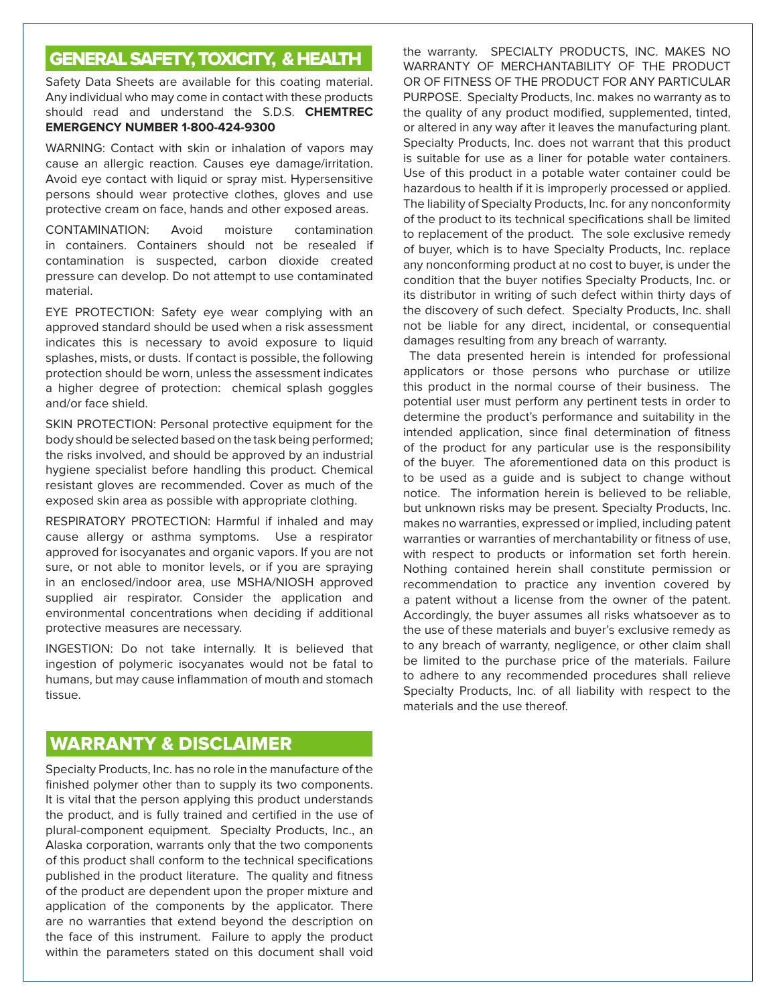# GENERAL SAFETY, TOXICITY, & HEALTH

Safety Data Sheets are available for this coating material. Any individual who may come in contact with these products should read and understand the S.D.S. **CHEMTREC EMERGENCY NUMBER 1-800-424-9300**

WARNING: Contact with skin or inhalation of vapors may cause an allergic reaction. Causes eye damage/irritation. Avoid eye contact with liquid or spray mist. Hypersensitive persons should wear protective clothes, gloves and use protective cream on face, hands and other exposed areas.

CONTAMINATION: Avoid moisture contamination in containers. Containers should not be resealed if contamination is suspected, carbon dioxide created pressure can develop. Do not attempt to use contaminated material.

EYE PROTECTION: Safety eye wear complying with an approved standard should be used when a risk assessment indicates this is necessary to avoid exposure to liquid splashes, mists, or dusts. If contact is possible, the following protection should be worn, unless the assessment indicates a higher degree of protection: chemical splash goggles and/or face shield.

SKIN PROTECTION: Personal protective equipment for the body should be selected based on the task being performed; the risks involved, and should be approved by an industrial hygiene specialist before handling this product. Chemical resistant gloves are recommended. Cover as much of the exposed skin area as possible with appropriate clothing.

RESPIRATORY PROTECTION: Harmful if inhaled and may cause allergy or asthma symptoms. Use a respirator approved for isocyanates and organic vapors. If you are not sure, or not able to monitor levels, or if you are spraying in an enclosed/indoor area, use MSHA/NIOSH approved supplied air respirator. Consider the application and environmental concentrations when deciding if additional protective measures are necessary.

INGESTION: Do not take internally. It is believed that ingestion of polymeric isocyanates would not be fatal to humans, but may cause inflammation of mouth and stomach tissue.

### WARRANTY & DISCLAIMER

Specialty Products, Inc. has no role in the manufacture of the finished polymer other than to supply its two components. It is vital that the person applying this product understands the product, and is fully trained and certified in the use of plural-component equipment. Specialty Products, Inc., an Alaska corporation, warrants only that the two components of this product shall conform to the technical specifications published in the product literature. The quality and fitness of the product are dependent upon the proper mixture and application of the components by the applicator. There are no warranties that extend beyond the description on the face of this instrument. Failure to apply the product within the parameters stated on this document shall void

the warranty. SPECIALTY PRODUCTS, INC. MAKES NO WARRANTY OF MERCHANTABILITY OF THE PRODUCT OR OF FITNESS OF THE PRODUCT FOR ANY PARTICULAR PURPOSE. Specialty Products, Inc. makes no warranty as to the quality of any product modified, supplemented, tinted, or altered in any way after it leaves the manufacturing plant. Specialty Products, Inc. does not warrant that this product is suitable for use as a liner for potable water containers. Use of this product in a potable water container could be hazardous to health if it is improperly processed or applied. The liability of Specialty Products, Inc. for any nonconformity of the product to its technical specifications shall be limited to replacement of the product. The sole exclusive remedy of buyer, which is to have Specialty Products, Inc. replace any nonconforming product at no cost to buyer, is under the condition that the buyer notifies Specialty Products, Inc. or its distributor in writing of such defect within thirty days of the discovery of such defect. Specialty Products, Inc. shall not be liable for any direct, incidental, or consequential damages resulting from any breach of warranty.

 The data presented herein is intended for professional applicators or those persons who purchase or utilize this product in the normal course of their business. The potential user must perform any pertinent tests in order to determine the product's performance and suitability in the intended application, since final determination of fitness of the product for any particular use is the responsibility of the buyer. The aforementioned data on this product is to be used as a guide and is subject to change without notice. The information herein is believed to be reliable, but unknown risks may be present. Specialty Products, Inc. makes no warranties, expressed or implied, including patent warranties or warranties of merchantability or fitness of use, with respect to products or information set forth herein. Nothing contained herein shall constitute permission or recommendation to practice any invention covered by a patent without a license from the owner of the patent. Accordingly, the buyer assumes all risks whatsoever as to the use of these materials and buyer's exclusive remedy as to any breach of warranty, negligence, or other claim shall be limited to the purchase price of the materials. Failure to adhere to any recommended procedures shall relieve Specialty Products, Inc. of all liability with respect to the materials and the use thereof.